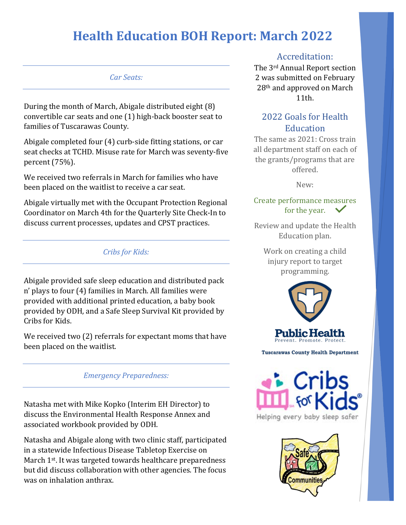#### *Car Seats:*

During the month of March, Abigale distributed eight (8) convertible car seats and one (1) high-back booster seat to families of Tuscarawas County.

Abigale completed four (4) curb-side fitting stations, or car seat checks at TCHD. Misuse rate for March was seventy-five percent (75%).

We received two referrals in March for families who have been placed on the waitlist to receive a car seat.

Abigale virtually met with the Occupant Protection Regional Coordinator on March 4th for the Quarterly Site Check-In to discuss current processes, updates and CPST practices.

### *Cribs for Kids:*

Abigale provided safe sleep education and distributed pack n' plays to four (4) families in March. All families were provided with additional printed education, a baby book provided by ODH, and a Safe Sleep Survival Kit provided by Cribs for Kids.

We received two (2) referrals for expectant moms that have been placed on the waitlist.

#### *Emergency Preparedness:*

Natasha met with Mike Kopko (Interim EH Director) to discuss the Environmental Health Response Annex and associated workbook provided by ODH.

Natasha and Abigale along with two clinic staff, participated in a statewide Infectious Disease Tabletop Exercise on March 1<sup>st</sup>. It was targeted towards healthcare preparedness but did discuss collaboration with other agencies. The focus was on inhalation anthrax.

### Accreditation:

The 3rd Annual Report section 2 was submitted on February 28th and approved on March 11th.

### 2022 Goals for Health **Education**

The same as 2021: Cross train all department staff on each of the grants/programs that are offered.

New:

### Create performance measures for the year.

Review and update the Health Education plan.

Work on creating a child injury report to target programming.



**Tuscarawas County Health Department** 



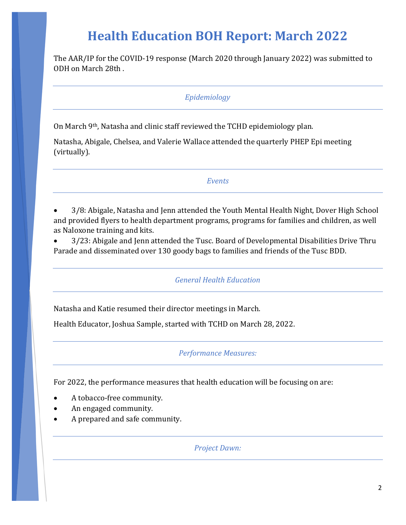The AAR/IP for the COVID-19 response (March 2020 through January 2022) was submitted to ODH on March 28th .

### *Epidemiology*

On March 9th, Natasha and clinic staff reviewed the TCHD epidemiology plan.

Natasha, Abigale, Chelsea, and Valerie Wallace attended the quarterly PHEP Epi meeting (virtually).

#### *Events*

• 3/8: Abigale, Natasha and Jenn attended the Youth Mental Health Night, Dover High School and provided flyers to health department programs, programs for families and children, as well as Naloxone training and kits.

• 3/23: Abigale and Jenn attended the Tusc. Board of Developmental Disabilities Drive Thru Parade and disseminated over 130 goody bags to families and friends of the Tusc BDD.

*General Health Education*

Natasha and Katie resumed their director meetings in March.

Health Educator, Joshua Sample, started with TCHD on March 28, 2022.

#### *Performance Measures:*

For 2022, the performance measures that health education will be focusing on are:

- A tobacco-free community.
- An engaged community.
- A prepared and safe community.

*Project Dawn:*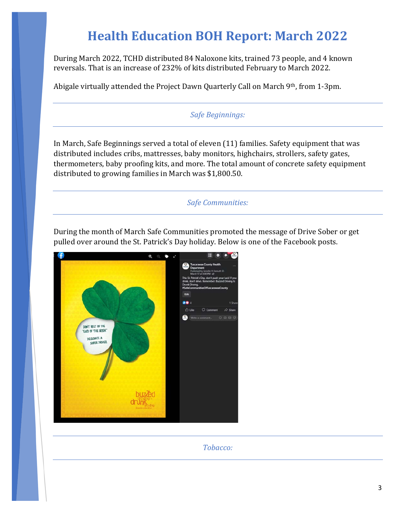During March 2022, TCHD distributed 84 Naloxone kits, trained 73 people, and 4 known reversals. That is an increase of 232% of kits distributed February to March 2022.

Abigale virtually attended the Project Dawn Quarterly Call on March 9th, from 1-3pm.

### *Safe Beginnings:*

In March, Safe Beginnings served a total of eleven (11) families. Safety equipment that was distributed includes cribs, mattresses, baby monitors, highchairs, strollers, safety gates, thermometers, baby proofing kits, and more. The total amount of concrete safety equipment distributed to growing families in March was \$1,800.50.

*Safe Communities:* 

During the month of March Safe Communities promoted the message of Drive Sober or get pulled over around the St. Patrick's Day holiday. Below is one of the Facebook posts.



*Tobacco:*